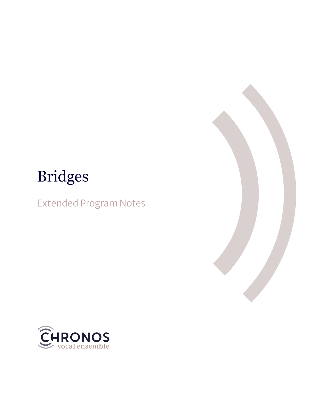# Bridges

Extended Program Notes



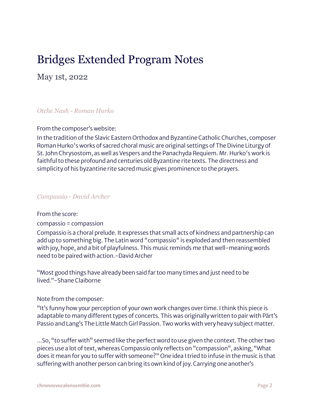# Bridges Extended Program Notes

May 1st, 2022

# *Otche Nash - Roman Hurko*

From the composer's website:

In the tradition of the Slavic Eastern Orthodox and Byzantine Catholic Churches, composer Roman Hurko's works of sacred choral music are original settings of The Divine Liturgy of St. John Chrysostom, as well as Vespers and the Panachyda Requiem. Mr. Hurko's work is faithful to these profound and centuries old Byzantine rite texts. The directness and simplicity of his byzantine rite sacred music gives prominence to the prayers.

#### *Compassio - David Archer*

#### From the score:

compassio = compassion

Compassio is a choral prelude. It expresses that small acts of kindness and partnership can add up to something big. The Latin word "compassio" is exploded and then reassembled with joy, hope, and a bit of playfulness. This music reminds me that well-meaning words need to be paired with action.-David Archer

"Most good things have already been said far too many times and just need to be lived."-Shane Claiborne

# Note from the composer:

"It's funny how your perception of your own work changes over time. I think this piece is adaptable to many different types of concerts. This was originally written to pair with Pärt's Passio and Lang's The Little Match Girl Passion. Two works with very heavy subject matter.

...So, "to suffer with" seemed like the perfect word to use given the context. The other two pieces use a lot of text, whereas Compassio only reflects on "compassion", asking, "What does it mean for you to suffer with someone?" One idea I tried to infuse in the music is that suffering with another person can bring its own kind of joy. Carrying one another's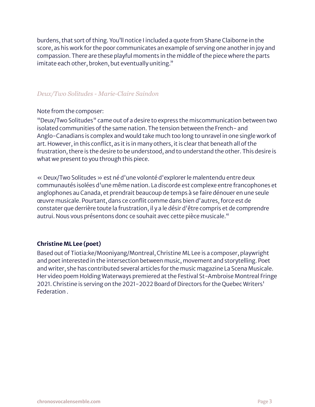burdens, that sort of thing. You'll notice I included a quote from Shane Claiborne in the score, as his work for the poor communicates an example of serving one anotherin joy and compassion. There are these playful moments in the middle of the piece where the parts imitate each other, broken, but eventually uniting."

# *Deux/Two Solitudes - Marie-Claire Saindon*

#### Note from the composer:

"Deux/Two Solitudes" came out of a desire to express the miscommunication between two isolated communities of the same nation. The tension between the French- and Anglo-Canadians is complex and would take much too long to unravel in one single work of art. However, in this conflict, as it is in many others, it is clear that beneath all of the frustration, there is the desire to be understood, and to understand the other. This desire is what we present to you through this piece.

« Deux/Two Solitudes » est né d'une volonté d'explorer le malentendu entre deux communautés isolées d'une même nation. La discorde est complexe entre francophones et anglophones au Canada, et prendrait beaucoup de temps à se faire dénouer en une seule œuvre musicale. Pourtant, dans ce conflit comme dans bien d'autres,force est de constater que derrière toute la frustration, il y a le désir d'être compris et de comprendre autrui. Nous vous présentons donc ce souhait avec cette pièce musicale."

# **Christine ML Lee (poet)**

Based out of Tiotia:ke/Mooniyang/Montreal, Christine ML Lee is a composer, playwright and poet interested in the intersection between music, movement and storytelling. Poet and writer, she has contributed several articles for the music magazine La Scena Musicale. Her video poem Holding Waterways premiered at the Festival St-Ambroise Montreal Fringe 2021. Christine is serving on the 2021-2022 Board of Directors for the Quebec Writers' Federation .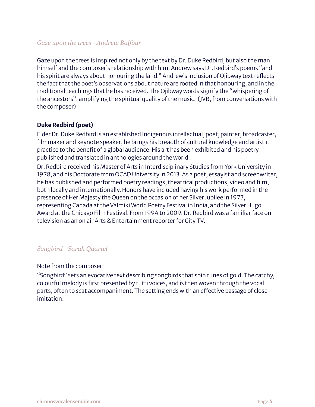#### *Gaze upon the trees - Andrew Balfour*

Gaze upon the trees is inspired not only by the text by Dr. Duke Redbird, but also the man himself and the composer's relationship with him. Andrew says Dr. Redbird's poems "and his spirit are always about honouring the land." Andrew's inclusion of Ojibway text reflects the fact that the poet's observations about nature are rooted in that honouring, and in the traditional teachings that he has received. The Ojibway words signify the "whispering of the ancestors", amplifying the spiritual quality of the music. (JVB, from conversations with the composer)

#### **Duke Redbird (poet)**

Elder Dr. Duke Redbird is an established Indigenous intellectual, poet, painter, broadcaster, filmmaker and keynote speaker, he brings his breadth of cultural knowledge and artistic practice to the benefit of a global audience. His art has been exhibited and his poetry published and translated in anthologies around the world.

Dr. Redbird received his Master of Arts in Interdisciplinary Studies from York University in 1978, and his Doctorate from OCAD University in 2013. As a poet, essayist and screenwriter, he has published and performed poetry readings, theatrical productions, video and film, both locally and internationally. Honors have included having his work performed in the presence of Her Majesty the Queen on the occasion of her Silver Jubilee in 1977, representing Canada at the Valmiki World Poetry Festival in India, and the Silver Hugo Award at the Chicago Film Festival. From 1994 to 2009, Dr. Redbird was a familiarface on television as an on air Arts & Entertainment reporter for City TV.

# *Songbird - Sarah Quartel*

#### Note from the composer:

"Songbird" sets an evocative text describing songbirds that spin tunes of gold. The catchy, colourful melody is first presented by tutti voices, and is then woven through the vocal parts, often to scat accompaniment. The setting ends with an effective passage of close imitation.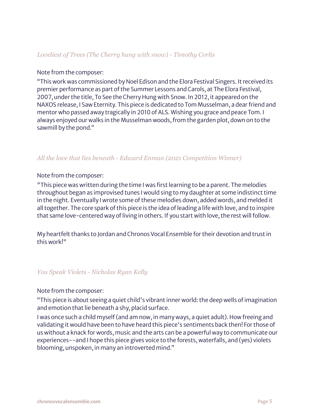#### *Loveliest of Trees (The Cherry hung with snow) - Timothy Corlis*

#### Note from the composer:

"This work was commissioned by Noel Edison and the Elora Festival Singers. It received its premier performance as part of the Summer Lessons and Carols, at The Elora Festival, 2007, under the title, To See the Cherry Hung with Snow. In 2012, it appeared on the NAXOS release, I Saw Eternity. This piece is dedicated to Tom Musselman, a dearfriend and mentor who passed away tragically in 2010 of ALS. Wishing you grace and peace Tom. I always enjoyed our walks in the Musselman woods, from the garden plot, down on to the sawmill by the pond."

#### *All the love that lies beneath - Edward Enman (2021 Competition Winner)*

#### Note from the composer:

"This piece was written during the time I was first learning to be a parent. The melodies throughout began as improvised tunes I would sing to my daughter at some indistinct time in the night. Eventually I wrote some of these melodies down, added words, and melded it all together. The core spark of this piece is the idea of leading a life with love, and to inspire that same love-centered way of living in others. If you start with love, the rest will follow.

My heartfelt thanks to Jordan and Chronos Vocal Ensemble for their devotion and trust in this work!"

#### *You Speak Violets - Nicholas Ryan Kelly*

#### Note from the composer:

"This piece is about seeing a quiet child's vibrant inner world: the deep wells ofimagination and emotion that lie beneath a shy, placid surface.

I was once such a child myself(and am now, in many ways, a quiet adult). How freeing and validating it would have been to have heard this piece's sentiments back then! For those of us without a knack for words, music and the arts can be a powerful way to communicate our experiences--and I hope this piece gives voice to the forests, waterfalls, and (yes) violets blooming, unspoken, in many an introverted mind."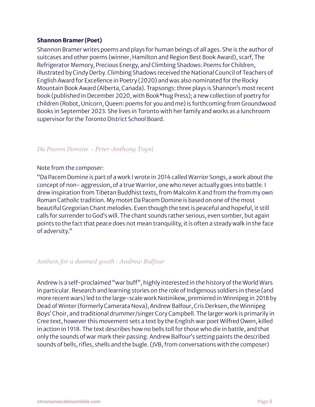#### **Shannon Bramer (Poet)**

Shannon Bramer writes poems and plays for human beings of all ages. She is the author of suitcases and other poems (winner, Hamilton and Region Best Book Award), scarf, The Refrigerator Memory, Precious Energy, and Climbing Shadows: Poems for Children, illustrated by Cindy Derby. Climbing Shadows received the National Council of Teachers of English Award for Excellence in Poetry (2020) and was also nominated for the Rocky Mountain Book Award (Alberta, Canada). Trapsongs: three plays is Shannon's most recent book (published in December 2020, with Book\*hug Press); a new collection of poetry for children (Robot, Unicorn, Queen: poems for you and me) is forthcoming from Groundwood Books in September 2023. She lives in Toronto with herfamily and works as a lunchroom supervisor for the Toronto District School Board.

#### *Da Pacem Domine - Peter-Anthony Togni*

#### Note from the composer:

"Da Pacem Domine is part of a work I wrote in 2014 called Warrior Songs, a work about the concept of non- aggression, of a true Warrior, one who never actually goes into battle. I drew inspiration from Tibetan Buddhist texts, from Malcolm X and from the from my own Roman Catholic tradition. My motet Da Pacem Domine is based on one of the most beautiful Gregorian Chant melodies. Even though the text is peaceful and hopeful, it still calls for surrender to God's will. The chant sounds rather serious, even somber, but again points to the fact that peace does not mean tranquility, it is often a steady walk in the face of adversity."

#### *Anthem for a doomed youth - Andrew Balfour*

Andrew is a self-proclaimed "war buff", highly interested in the history of the World Wars in particular. Research and learning stories on the role of Indigenous soldiers in these (and more recent wars)led to the large-scale work Notinikew, premiered in Winnipeg in 2018 by Dead of Winter(formerly Camerata Nova), Andrew Balfour, Cris Derksen, the Winnipeg Boys' Choir, and traditional drummer/singer Cory Campbell. The larger work is primarily in Cree text, however this movement sets a text by the English war poet Wilfred Owen, killed in action in 1918. The text describes how no bells toll for those who die in battle, and that only the sounds of war mark their passing. Andrew Balfour's setting paints the described sounds of bells, rifles, shells and the bugle. (JVB, from conversations with the composer)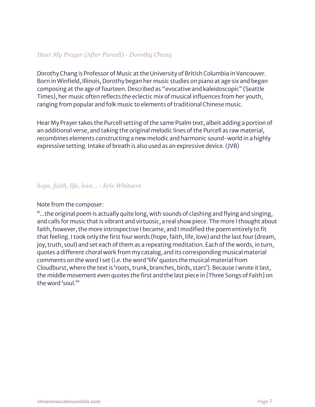# *Hear My Prayer (After Purcell) - Dorothy Chang*

Dorothy Chang is Professor of Music at the University of British Columbia inVancouver. Born in Winfield, Illinois, Dorothy began her music studies on piano at age six and began composing at the age offourteen. Described as "evocative and kaleidoscopic" (Seattle Times), her music often reflects the eclectic mix of musical influences from her youth, ranging from popular and folk music to elements of traditional Chinese music.

Hear My Prayer takes the Purcell setting of the same Psalm text, albeit adding a portion of an additional verse, and taking the original melodic lines of the Purcell as raw material, recombines elements constructing a new melodic and harmonic sound-world in a highly expressive setting. Intake of breath is also used as an expressive device.(JVB)

#### *hope, faith, life, love… - Eric Whitacre*

#### Note from the composer:

"...the original poem is actually quite long, with sounds of clashing and flying and singing, and calls for music that is vibrant and virtuosic, a real show piece. The more I thought about faith, however, the more introspective I became, and I modified the poem entirely to fit that feeling. I took only the first four words (hope, faith, life, love) and the last four (dream, joy, truth, soul) and set each of them as a repeating meditation. Each of the words, in turn, quotes a different choral work from my catalog, and its corresponding musical material comments on the word I set (i.e. the word 'life' quotes the musical material from Cloudburst, where the text is 'roots, trunk, branches, birds, stars'). Because I wrote it last, the middle movement even quotes the first and the last piece in [Three Songs of Faith] on the word 'soul.'"